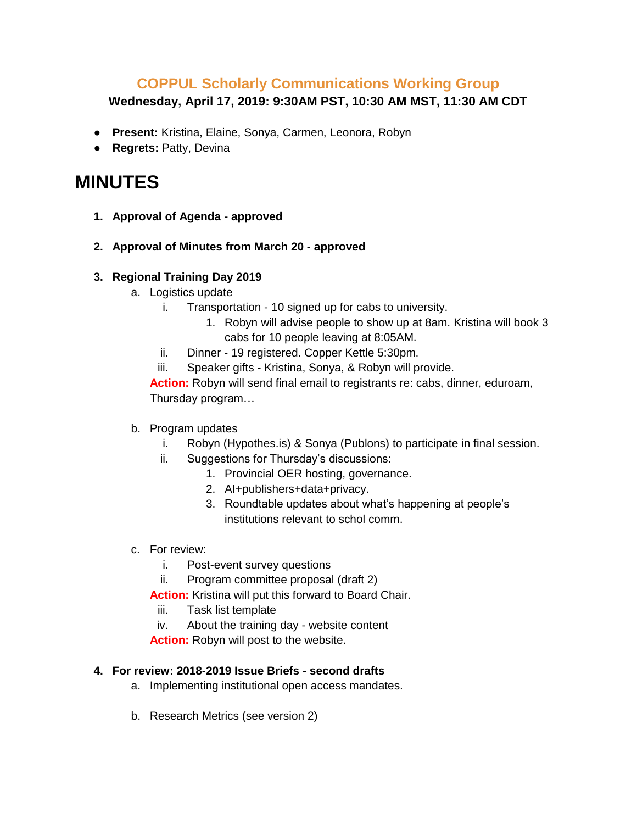## **COPPUL Scholarly Communications Working Group**

**Wednesday, April 17, 2019: 9:30AM PST, 10:30 AM MST, 11:30 AM CDT**

- **Present:** Kristina, Elaine, Sonya, Carmen, Leonora, Robyn
- **Regrets:** Patty, Devina

## **MINUTES**

- **1. Approval of Agenda - approved**
- **2. Approval of Minutes from March 20 - approved**
- **3. Regional Training Day 2019** 
	- a. Logistics update
		- i. Transportation 10 signed up for cabs to university.
			- 1. Robyn will advise people to show up at 8am. Kristina will book 3 cabs for 10 people leaving at 8:05AM.
		- ii. Dinner 19 registered. Copper Kettle 5:30pm.
		- iii. Speaker gifts Kristina, Sonya, & Robyn will provide.

**Action:** Robyn will send final email to registrants re: cabs, dinner, eduroam, Thursday program…

- b. Program updates
	- i. Robyn (Hypothes.is) & Sonya (Publons) to participate in final session.
	- ii. Suggestions for Thursday's discussions:
		- 1. Provincial OER hosting, governance.
		- 2. AI+publishers+data+privacy.
		- 3. Roundtable updates about what's happening at people's institutions relevant to schol comm.
- c. For review:
	- i. Post-event survey questions
	- ii. Program committee proposal (draft 2)
	- **Action:** Kristina will put this forward to Board Chair.
		- iii. Task list template
	- iv. About the training day website content

**Action:** Robyn will post to the website.

## **4. For review: 2018-2019 Issue Briefs - second drafts**

- a. Implementing institutional open access mandates.
- b. Research Metrics (see version 2)